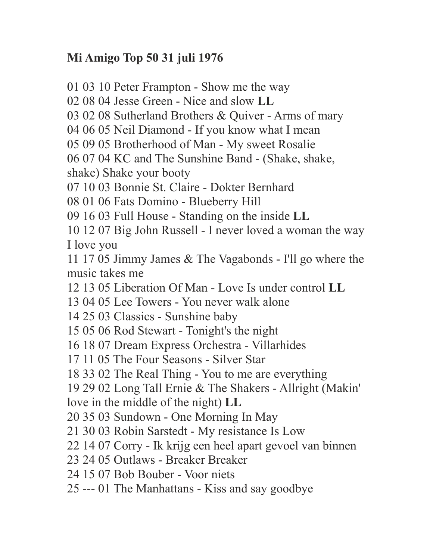## **Mi Amigo Top 50 31 juli 1976**

01 03 10 Peter Frampton - Show me the way 02 08 04 Jesse Green - Nice and slow **LL** 03 02 08 Sutherland Brothers & Quiver - Arms of mary 04 06 05 Neil Diamond - If you know what I mean 05 09 05 Brotherhood of Man - My sweet Rosalie 06 07 04 KC and The Sunshine Band - (Shake, shake, shake) Shake your booty 07 10 03 Bonnie St. Claire - Dokter Bernhard 08 01 06 Fats Domino - Blueberry Hill 09 16 03 Full House - Standing on the inside **LL** 10 12 07 Big John Russell - I never loved a woman the way I love you 11 17 05 Jimmy James & The Vagabonds - I'll go where the music takes me 12 13 05 Liberation Of Man - Love Is under control **LL** 13 04 05 Lee Towers - You never walk alone 14 25 03 Classics - Sunshine baby 15 05 06 Rod Stewart - Tonight's the night 16 18 07 Dream Express Orchestra - Villarhides 17 11 05 The Four Seasons - Silver Star 18 33 02 The Real Thing - You to me are everything 19 29 02 Long Tall Ernie & The Shakers - Allright (Makin' love in the middle of the night) **LL** 20 35 03 Sundown - One Morning In May 21 30 03 Robin Sarstedt - My resistance Is Low 22 14 07 Corry - Ik krijg een heel apart gevoel van binnen 23 24 05 Outlaws - Breaker Breaker 24 15 07 Bob Bouber - Voor niets 25 --- 01 The Manhattans - Kiss and say goodbye